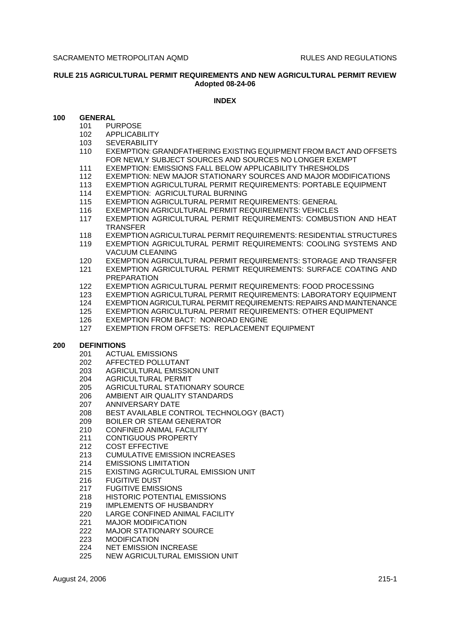### **RULE 215 AGRICULTURAL PERMIT REQUIREMENTS AND NEW AGRICULTURAL PERMIT REVIEW Adopted 08-24-06**

#### **INDEX**

#### **100 GENERAL**

- 101 PURPOSE
- 102 APPLICABILITY
- 103 SEVERABILITY
- 110 EXEMPTION: GRANDFATHERING EXISTING EQUIPMENT FROM BACT AND OFFSETS FOR NEWLY SUBJECT SOURCES AND SOURCES NO LONGER EXEMPT
- 111 EXEMPTION: EMISSIONS FALL BELOW APPLICABILITY THRESHOLDS
- 112 EXEMPTION: NEW MAJOR STATIONARY SOURCES AND MAJOR MODIFICATIONS
- 113 EXEMPTION AGRICULTURAL PERMIT REQUIREMENTS: PORTABLE EQUIPMENT
- 114 EXEMPTION: AGRICULTURAL BURNING
- 115 EXEMPTION AGRICULTURAL PERMIT REQUIREMENTS: GENERAL
- 116 EXEMPTION AGRICULTURAL PERMIT REQUIREMENTS: VEHICLES
- 117 EXEMPTION AGRICULTURAL PERMIT REQUIREMENTS: COMBUSTION AND HEAT TRANSFER
- 118 EXEMPTION AGRICULTURAL PERMIT REQUIREMENTS: RESIDENTIAL STRUCTURES 119 EXEMPTION AGRICULTURAL PERMIT REQUIREMENTS: COOLING SYSTEMS AND VACUUM CLEANING
- 120 EXEMPTION AGRICULTURAL PERMIT REQUIREMENTS: STORAGE AND TRANSFER
- 121 EXEMPTION AGRICULTURAL PERMIT REQUIREMENTS: SURFACE COATING AND PREPARATION
- 122 EXEMPTION AGRICULTURAL PERMIT REQUIREMENTS: FOOD PROCESSING
- 123 EXEMPTION AGRICULTURAL PERMIT REQUIREMENTS: LABORATORY EQUIPMENT
- 124 EXEMPTION AGRICULTURAL PERMIT REQUIREMENTS: REPAIRS AND MAINTENANCE
- 125 EXEMPTION AGRICULTURAL PERMIT REQUIREMENTS: OTHER EQUIPMENT
- 126 EXEMPTION FROM BACT: NONROAD ENGINE
- 127 EXEMPTION FROM OFFSETS: REPLACEMENT EQUIPMENT

#### **200 DEFINITIONS**

- 201 ACTUAL EMISSIONS
- 202 AFFECTED POLLUTANT
- 203 AGRICULTURAL EMISSION UNIT
- 204 AGRICULTURAL PERMIT
- 205 AGRICULTURAL STATIONARY SOURCE
- 206 AMBIENT AIR QUALITY STANDARDS<br>207 ANNIVERSARY DATE
- ANNIVERSARY DATE
- 208 BEST AVAILABLE CONTROL TECHNOLOGY (BACT)
- 209 BOILER OR STEAM GENERATOR
- 210 CONFINED ANIMAL FACILITY
- 211 CONTIGUOUS PROPERTY
- 212 COST EFFECTIVE
- 213 CUMULATIVE EMISSION INCREASES
- 214 EMISSIONS LIMITATION
- 215 EXISTING AGRICULTURAL EMISSION UNIT
- 216 FUGITIVE DUST
- 217 FUGITIVE EMISSIONS
- 218 HISTORIC POTENTIAL EMISSIONS
- 219 IMPLEMENTS OF HUSBANDRY
- 220 LARGE CONFINED ANIMAL FACILITY
- 221 MAJOR MODIFICATION
- 222 MAJOR STATIONARY SOURCE
- 223 MODIFICATION
- 224 NET EMISSION INCREASE
- 225 NEW AGRICULTURAL EMISSION UNIT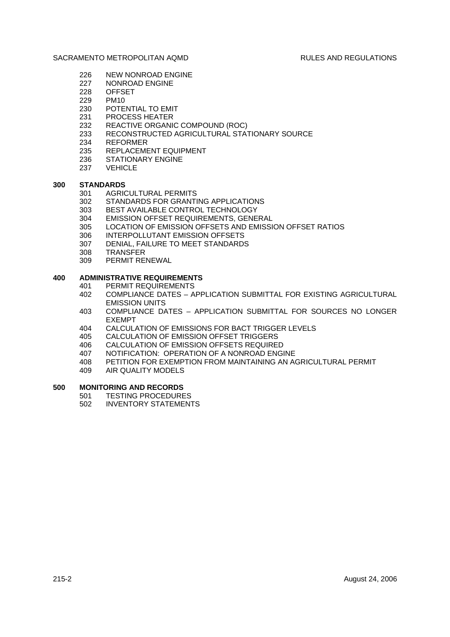- 226 NEW NONROAD ENGINE
- 227 NONROAD ENGINE
- 228 OFFSET
- 229 PM10
- 230 POTENTIAL TO EMIT
- 231 PROCESS HEATER
- 232 REACTIVE ORGANIC COMPOUND (ROC)
- 233 RECONSTRUCTED AGRICULTURAL STATIONARY SOURCE
- 234 REFORMER
- 235 REPLACEMENT EQUIPMENT
- 236 STATIONARY ENGINE
- 237 VEHICLE

#### **300 STANDARDS**

- 301 AGRICULTURAL PERMITS
- 302 STANDARDS FOR GRANTING APPLICATIONS
- 303 BEST AVAILABLE CONTROL TECHNOLOGY
- 304 EMISSION OFFSET REQUIREMENTS, GENERAL
- 305 LOCATION OF EMISSION OFFSETS AND EMISSION OFFSET RATIOS
- 306 INTERPOLLUTANT EMISSION OFFSETS
- 307 DENIAL, FAILURE TO MEET STANDARDS
- 308 TRANSFER
- 309 PERMIT RENEWAL

#### **400 ADMINISTRATIVE REQUIREMENTS**

- 401 PERMIT REQUIREMENTS
- 402 COMPLIANCE DATES APPLICATION SUBMITTAL FOR EXISTING AGRICULTURAL EMISSION UNITS
- 403 COMPLIANCE DATES APPLICATION SUBMITTAL FOR SOURCES NO LONGER EXEMPT
- 404 CALCULATION OF EMISSIONS FOR BACT TRIGGER LEVELS
- 405 CALCULATION OF EMISSION OFFSET TRIGGERS
- 406 CALCULATION OF EMISSION OFFSETS REQUIRED
- 407 NOTIFICATION: OPERATION OF A NONROAD ENGINE
- 408 PETITION FOR EXEMPTION FROM MAINTAINING AN AGRICULTURAL PERMIT
- 409 AIR QUALITY MODELS

# **500 MONITORING AND RECORDS**<br>501 TESTING PROCEDURE

- **TESTING PROCEDURES**
- 502 INVENTORY STATEMENTS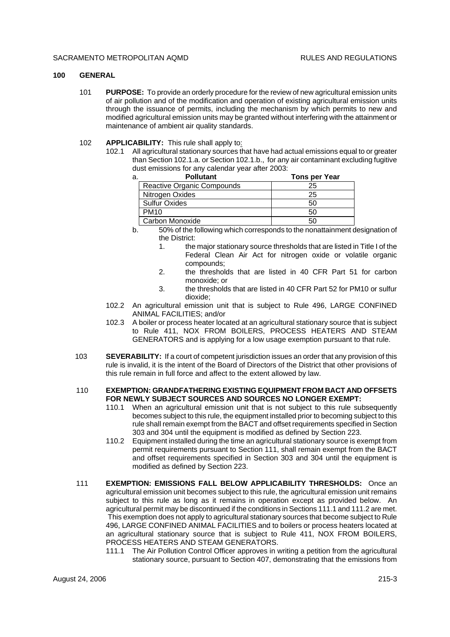#### **100 GENERAL**

- 101 **PURPOSE:** To provide an orderly procedure for the review of new agricultural emission units of air pollution and of the modification and operation of existing agricultural emission units through the issuance of permits, including the mechanism by which permits to new and modified agricultural emission units may be granted without interfering with the attainment or maintenance of ambient air quality standards.
- 102 **APPLICABILITY:** This rule shall apply to:
	- 102.1 All agricultural stationary sources that have had actual emissions equal to or greater than Section 102.1.a. or Section 102.1.b., for any air contaminant excluding fugitive dust emissions for any calendar year after 2003:

| а. | <b>Pollutant</b>           | <b>Tons per Year</b> |
|----|----------------------------|----------------------|
|    | Reactive Organic Compounds | 25                   |
|    | Nitrogen Oxides            | 25                   |
|    | <b>Sulfur Oxides</b>       | 50                   |
|    | <b>PM10</b>                | 50                   |
|    | Carbon Monoxide            | 50                   |

- b. 50% of the following which corresponds to the nonattainment designation of the District:
	- 1. the major stationary source thresholds that are listed in Title I of the Federal Clean Air Act for nitrogen oxide or volatile organic compounds;
	- 2. the thresholds that are listed in 40 CFR Part 51 for carbon monoxide; or
	- 3. the thresholds that are listed in 40 CFR Part 52 for PM10 or sulfur dioxide;
- 102.2 An agricultural emission unit that is subject to Rule 496, LARGE CONFINED ANIMAL FACILITIES; and/or
- 102.3 A boiler or process heater located at an agricultural stationary source that is subject to Rule 411, NOX FROM BOILERS, PROCESS HEATERS AND STEAM GENERATORS and is applying for a low usage exemption pursuant to that rule.
- 103 **SEVERABILITY:** If a court of competent jurisdiction issues an order that any provision of this rule is invalid, it is the intent of the Board of Directors of the District that other provisions of this rule remain in full force and affect to the extent allowed by law.

#### 110 **EXEMPTION: GRANDFATHERING EXISTING EQUIPMENT FROM BACT AND OFFSETS FOR NEWLY SUBJECT SOURCES AND SOURCES NO LONGER EXEMPT:**

- 110.1 When an agricultural emission unit that is not subject to this rule subsequently becomes subject to this rule, the equipment installed prior to becoming subject to this rule shall remain exempt from the BACT and offset requirements specified in Section 303 and 304 until the equipment is modified as defined by Section 223.
- 110.2 Equipment installed during the time an agricultural stationary source is exempt from permit requirements pursuant to Section 111, shall remain exempt from the BACT and offset requirements specified in Section 303 and 304 until the equipment is modified as defined by Section 223.
- 111 **EXEMPTION: EMISSIONS FALL BELOW APPLICABILITY THRESHOLDS:** Once an agricultural emission unit becomes subject to this rule, the agricultural emission unit remains subject to this rule as long as it remains in operation except as provided below. An agricultural permit may be discontinued if the conditions in Sections 111.1 and 111.2 are met. This exemption does not apply to agricultural stationary sources that become subject to Rule 496, LARGE CONFINED ANIMAL FACILITIES and to boilers or process heaters located at an agricultural stationary source that is subject to Rule 411, NOX FROM BOILERS, PROCESS HEATERS AND STEAM GENERATORS.
	- 111.1 The Air Pollution Control Officer approves in writing a petition from the agricultural stationary source, pursuant to Section 407, demonstrating that the emissions from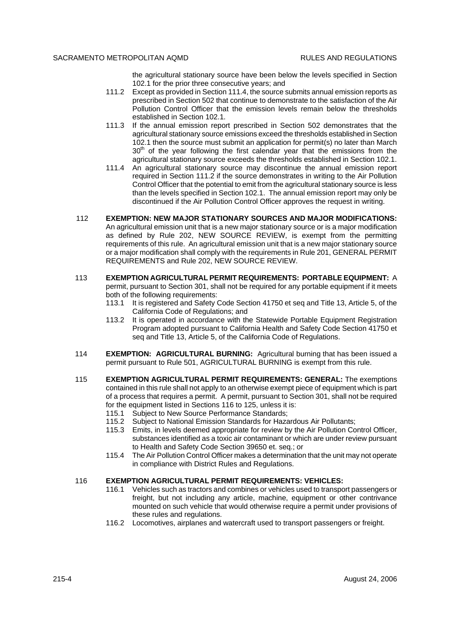the agricultural stationary source have been below the levels specified in Section 102.1 for the prior three consecutive years; and

- 111.2 Except as provided in Section 111.4, the source submits annual emission reports as prescribed in Section 502 that continue to demonstrate to the satisfaction of the Air Pollution Control Officer that the emission levels remain below the thresholds established in Section 102.1.
- 111.3 If the annual emission report prescribed in Section 502 demonstrates that the agricultural stationary source emissions exceed the thresholds established in Section 102.1 then the source must submit an application for permit(s) no later than March  $30<sup>th</sup>$  of the year following the first calendar year that the emissions from the agricultural stationary source exceeds the thresholds established in Section 102.1.
- 111.4 An agricultural stationary source may discontinue the annual emission report required in Section 111.2 if the source demonstrates in writing to the Air Pollution Control Officer that the potential to emit from the agricultural stationary source is less than the levels specified in Section 102.1. The annual emission report may only be discontinued if the Air Pollution Control Officer approves the request in writing.
- 112 **EXEMPTION: NEW MAJOR STATIONARY SOURCES AND MAJOR MODIFICATIONS:** An agricultural emission unit that is a new major stationary source or is a major modification as defined by Rule 202, NEW SOURCE REVIEW, is exempt from the permitting requirements of this rule. An agricultural emission unit that is a new major stationary source or a major modification shall comply with the requirements in Rule 201, GENERAL PERMIT REQUIREMENTS and Rule 202, NEW SOURCE REVIEW.
- 113 **EXEMPTION AGRICULTURAL PERMIT REQUIREMENTS: PORTABLE EQUIPMENT:** A permit, pursuant to Section 301, shall not be required for any portable equipment if it meets both of the following requirements:
	- 113.1 It is registered and Safety Code Section 41750 et seq and Title 13, Article 5, of the California Code of Regulations; and
	- 113.2 It is operated in accordance with the Statewide Portable Equipment Registration Program adopted pursuant to California Health and Safety Code Section 41750 et seq and Title 13, Article 5, of the California Code of Regulations.
- 114 **EXEMPTION: AGRICULTURAL BURNING:** Agricultural burning that has been issued a permit pursuant to Rule 501, AGRICULTURAL BURNING is exempt from this rule.
- 115 **EXEMPTION AGRICULTURAL PERMIT REQUIREMENTS: GENERAL:** The exemptions contained in this rule shall not apply to an otherwise exempt piece of equipment which is part of a process that requires a permit. A permit, pursuant to Section 301, shall not be required for the equipment listed in Sections 116 to 125, unless it is:
	- 115.1 Subject to New Source Performance Standards;
	- 115.2 Subject to National Emission Standards for Hazardous Air Pollutants;
	- 115.3 Emits, in levels deemed appropriate for review by the Air Pollution Control Officer, substances identified as a toxic air contaminant or which are under review pursuant to Health and Safety Code Section 39650 et. seq.; or
	- 115.4 The Air Pollution Control Officer makes a determination that the unit may not operate in compliance with District Rules and Regulations.

#### 116 **EXEMPTION AGRICULTURAL PERMIT REQUIREMENTS: VEHICLES:**

- 116.1 Vehicles such as tractors and combines or vehicles used to transport passengers or freight, but not including any article, machine, equipment or other contrivance mounted on such vehicle that would otherwise require a permit under provisions of these rules and regulations.
- 116.2 Locomotives, airplanes and watercraft used to transport passengers or freight.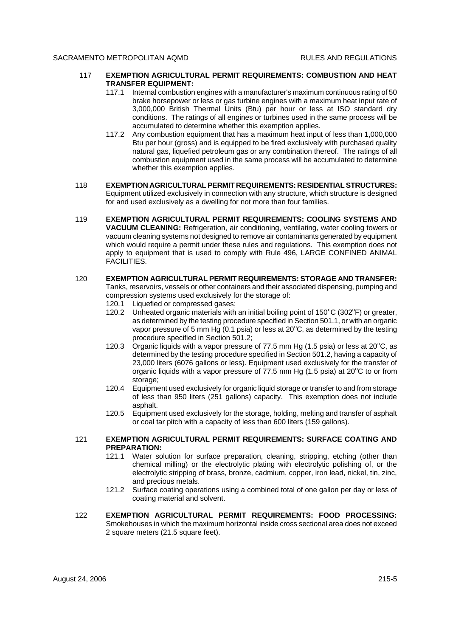- 117 **EXEMPTION AGRICULTURAL PERMIT REQUIREMENTS: COMBUSTION AND HEAT TRANSFER EQUIPMENT:**
	- 117.1 Internal combustion engines with a manufacturer's maximum continuous rating of 50 brake horsepower or less or gas turbine engines with a maximum heat input rate of 3,000,000 British Thermal Units (Btu) per hour or less at ISO standard dry conditions. The ratings of all engines or turbines used in the same process will be accumulated to determine whether this exemption applies.
	- 117.2 Any combustion equipment that has a maximum heat input of less than 1,000,000 Btu per hour (gross) and is equipped to be fired exclusively with purchased quality natural gas, liquefied petroleum gas or any combination thereof. The ratings of all combustion equipment used in the same process will be accumulated to determine whether this exemption applies.
- 118 **EXEMPTION AGRICULTURAL PERMIT REQUIREMENTS: RESIDENTIAL STRUCTURES:** Equipment utilized exclusively in connection with any structure, which structure is designed for and used exclusively as a dwelling for not more than four families.
- 119 **EXEMPTION AGRICULTURAL PERMIT REQUIREMENTS: COOLING SYSTEMS AND VACUUM CLEANING:** Refrigeration, air conditioning, ventilating, water cooling towers or vacuum cleaning systems not designed to remove air contaminants generated by equipment which would require a permit under these rules and regulations. This exemption does not apply to equipment that is used to comply with Rule 496, LARGE CONFINED ANIMAL FACILITIES.
- 120 **EXEMPTION AGRICULTURAL PERMIT REQUIREMENTS: STORAGE AND TRANSFER:** Tanks, reservoirs, vessels or other containers and their associated dispensing, pumping and compression systems used exclusively for the storage of:
	- 120.1 Liquefied or compressed gases:
	- 120.2 Unheated organic materials with an initial boiling point of  $150^{\circ}$ C (302 $^{\circ}$ F) or greater, as determined by the testing procedure specified in Section 501.1, or with an organic vapor pressure of 5 mm Hg (0.1 psia) or less at  $20^{\circ}$ C, as determined by the testing procedure specified in Section 501.2;
	- 120.3 Organic liquids with a vapor pressure of  $77.5$  mm Hg  $(1.5 \text{ psia})$  or less at  $20^{\circ}\text{C}$ , as determined by the testing procedure specified in Section 501.2, having a capacity of 23,000 liters (6076 gallons or less). Equipment used exclusively for the transfer of organic liquids with a vapor pressure of  $77.5$  mm Hg (1.5 psia) at  $20^{\circ}$ C to or from storage:
	- 120.4 Equipment used exclusively for organic liquid storage or transfer to and from storage of less than 950 liters (251 gallons) capacity. This exemption does not include asphalt
	- 120.5 Equipment used exclusively for the storage, holding, melting and transfer of asphalt or coal tar pitch with a capacity of less than 600 liters (159 gallons).

#### 121 **EXEMPTION AGRICULTURAL PERMIT REQUIREMENTS: SURFACE COATING AND PREPARATION:**

- 121.1 Water solution for surface preparation, cleaning, stripping, etching (other than chemical milling) or the electrolytic plating with electrolytic polishing of, or the electrolytic stripping of brass, bronze, cadmium, copper, iron lead, nickel, tin, zinc, and precious metals.
- 121.2 Surface coating operations using a combined total of one gallon per day or less of coating material and solvent.
- 122 **EXEMPTION AGRICULTURAL PERMIT REQUIREMENTS: FOOD PROCESSING:** Smokehouses in which the maximum horizontal inside cross sectional area does not exceed 2 square meters (21.5 square feet).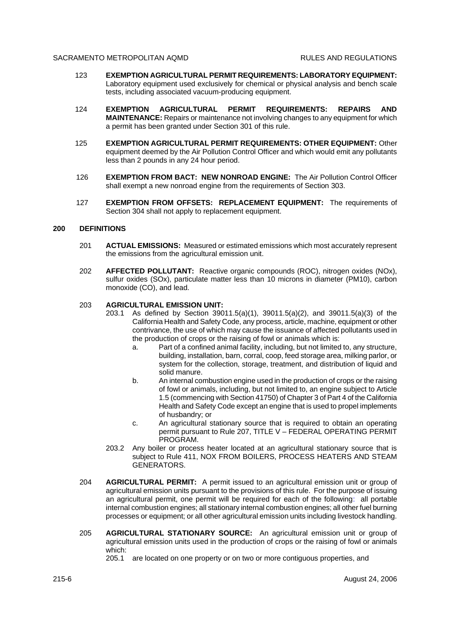- 123 **EXEMPTION AGRICULTURAL PERMIT REQUIREMENTS: LABORATORY EQUIPMENT:** Laboratory equipment used exclusively for chemical or physical analysis and bench scale tests, including associated vacuum-producing equipment.
- 124 **EXEMPTION AGRICULTURAL PERMIT REQUIREMENTS: REPAIRS AND MAINTENANCE:** Repairs or maintenance not involving changes to any equipment for which a permit has been granted under Section 301 of this rule.
- 125 **EXEMPTION AGRICULTURAL PERMIT REQUIREMENTS: OTHER EQUIPMENT:** Other equipment deemed by the Air Pollution Control Officer and which would emit any pollutants less than 2 pounds in any 24 hour period.
- 126 **EXEMPTION FROM BACT: NEW NONROAD ENGINE:** The Air Pollution Control Officer shall exempt a new nonroad engine from the requirements of Section 303.
- 127 **EXEMPTION FROM OFFSETS: REPLACEMENT EQUIPMENT:** The requirements of Section 304 shall not apply to replacement equipment.

### **200 DEFINITIONS**

- 201 **ACTUAL EMISSIONS:** Measured or estimated emissions which most accurately represent the emissions from the agricultural emission unit.
- 202 **AFFECTED POLLUTANT:** Reactive organic compounds (ROC), nitrogen oxides (NOx), sulfur oxides (SOx), particulate matter less than 10 microns in diameter (PM10), carbon monoxide (CO), and lead.

#### 203 **AGRICULTURAL EMISSION UNIT:**

- 203.1 As defined by Section 39011.5(a)(1), 39011.5(a)(2), and 39011.5(a)(3) of the California Health and Safety Code, any process, article, machine, equipment or other contrivance, the use of which may cause the issuance of affected pollutants used in the production of crops or the raising of fowl or animals which is:
	- a. Part of a confined animal facility, including, but not limited to, any structure, building, installation, barn, corral, coop, feed storage area, milking parlor, or system for the collection, storage, treatment, and distribution of liquid and solid manure.
	- b. An internal combustion engine used in the production of crops or the raising of fowl or animals, including, but not limited to, an engine subject to Article 1.5 (commencing with Section 41750) of Chapter 3 of Part 4 of the California Health and Safety Code except an engine that is used to propel implements of husbandry; or
	- c. An agricultural stationary source that is required to obtain an operating permit pursuant to Rule 207, TITLE V – FEDERAL OPERATING PERMIT PROGRAM.
- 203.2 Any boiler or process heater located at an agricultural stationary source that is subject to Rule 411, NOX FROM BOILERS, PROCESS HEATERS AND STEAM GENERATORS.
- 204 **AGRICULTURAL PERMIT:** A permit issued to an agricultural emission unit or group of agricultural emission units pursuant to the provisions of this rule. For the purpose of issuing an agricultural permit, one permit will be required for each of the following: all portable internal combustion engines; all stationary internal combustion engines; all other fuel burning processes or equipment; or all other agricultural emission units including livestock handling.
- 205 **AGRICULTURAL STATIONARY SOURCE:** An agricultural emission unit or group of agricultural emission units used in the production of crops or the raising of fowl or animals which:

205.1 are located on one property or on two or more contiguous properties, and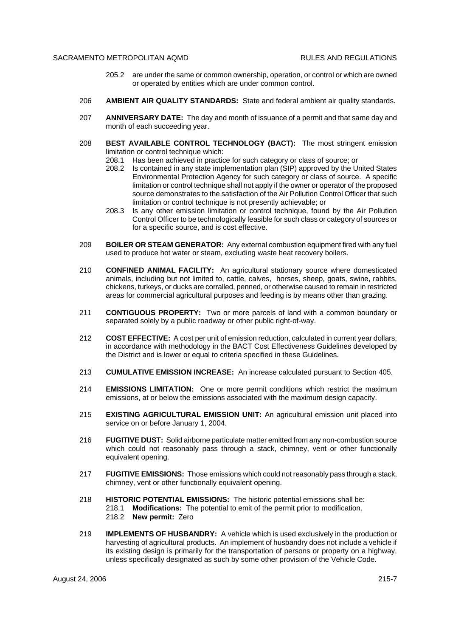- 205.2 are under the same or common ownership, operation, or control or which are owned or operated by entities which are under common control.
- 206 **AMBIENT AIR QUALITY STANDARDS:** State and federal ambient air quality standards.
- 207 **ANNIVERSARY DATE:** The day and month of issuance of a permit and that same day and month of each succeeding year.
- 208 **BEST AVAILABLE CONTROL TECHNOLOGY (BACT):** The most stringent emission limitation or control technique which:
	- 208.1 Has been achieved in practice for such category or class of source; or
	- 208.2 Is contained in any state implementation plan (SIP) approved by the United States Environmental Protection Agency for such category or class of source. A specific limitation or control technique shall not apply if the owner or operator of the proposed source demonstrates to the satisfaction of the Air Pollution Control Officer that such limitation or control technique is not presently achievable; or
	- 208.3 Is any other emission limitation or control technique, found by the Air Pollution Control Officer to be technologically feasible for such class or category of sources or for a specific source, and is cost effective.
- 209 **BOILER OR STEAM GENERATOR:** Any external combustion equipment fired with any fuel used to produce hot water or steam, excluding waste heat recovery boilers.
- 210 **CONFINED ANIMAL FACILITY:** An agricultural stationary source where domesticated animals, including but not limited to, cattle, calves, horses, sheep, goats, swine, rabbits, chickens, turkeys, or ducks are corralled, penned, or otherwise caused to remain in restricted areas for commercial agricultural purposes and feeding is by means other than grazing.
- 211 **CONTIGUOUS PROPERTY:** Two or more parcels of land with a common boundary or separated solely by a public roadway or other public right-of-way.
- 212 **COST EFFECTIVE:** A cost per unit of emission reduction, calculated in current year dollars, in accordance with methodology in the BACT Cost Effectiveness Guidelines developed by the District and is lower or equal to criteria specified in these Guidelines.
- 213 **CUMULATIVE EMISSION INCREASE:** An increase calculated pursuant to Section 405.
- 214 **EMISSIONS LIMITATION:** One or more permit conditions which restrict the maximum emissions, at or below the emissions associated with the maximum design capacity.
- 215 **EXISTING AGRICULTURAL EMISSION UNIT:** An agricultural emission unit placed into service on or before January 1, 2004.
- 216 **FUGITIVE DUST:** Solid airborne particulate matter emitted from any non-combustion source which could not reasonably pass through a stack, chimney, vent or other functionally equivalent opening.
- 217 **FUGITIVE EMISSIONS:** Those emissions which could not reasonably pass through a stack, chimney, vent or other functionally equivalent opening.
- 218 **HISTORIC POTENTIAL EMISSIONS:** The historic potential emissions shall be: 218.1 **Modifications:** The potential to emit of the permit prior to modification. 218.2 **New permit:** Zero
- 219 **IMPLEMENTS OF HUSBANDRY:** A vehicle which is used exclusively in the production or harvesting of agricultural products. An implement of husbandry does not include a vehicle if its existing design is primarily for the transportation of persons or property on a highway, unless specifically designated as such by some other provision of the Vehicle Code.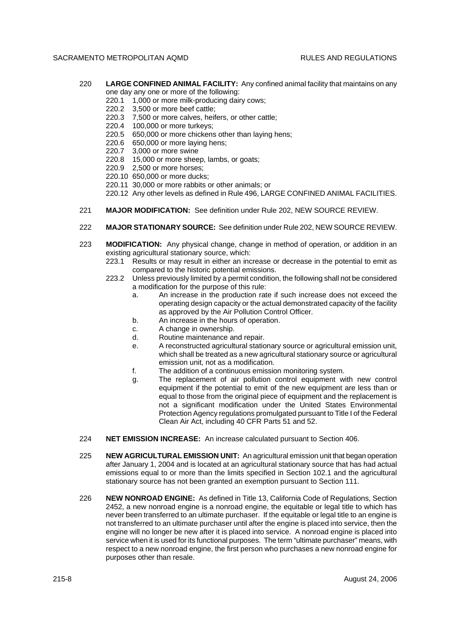- 220 **LARGE CONFINED ANIMAL FACILITY:** Any confined animal facility that maintains on any one day any one or more of the following:
	- 220.1 1,000 or more milk-producing dairy cows;
	- 220.2 3,500 or more beef cattle;
	- 220.3 7,500 or more calves, heifers, or other cattle;
	- 220.4 100,000 or more turkeys;
	- 220.5 650,000 or more chickens other than laying hens;
	- 220.6 650,000 or more laying hens;
	- 220.7 3,000 or more swine
	- 220.8 15,000 or more sheep, lambs, or goats;
	- 220.9 2,500 or more horses;
	- 220.10 650,000 or more ducks;
	- 220.11 30,000 or more rabbits or other animals; or
	- 220.12 Any other levels as defined in Rule 496, LARGE CONFINED ANIMAL FACILITIES.
- 221 **MAJOR MODIFICATION:** See definition under Rule 202, NEW SOURCE REVIEW.
- 222 **MAJOR STATIONARY SOURCE:** See definition under Rule 202, NEW SOURCE REVIEW.
- 223 **MODIFICATION:** Any physical change, change in method of operation, or addition in an existing agricultural stationary source, which:
	- 223.1 Results or may result in either an increase or decrease in the potential to emit as compared to the historic potential emissions.
	- 223.2 Unless previously limited by a permit condition, the following shall not be considered a modification for the purpose of this rule:
		- a. An increase in the production rate if such increase does not exceed the operating design capacity or the actual demonstrated capacity of the facility as approved by the Air Pollution Control Officer.
		- b. An increase in the hours of operation.
		- c. A change in ownership.
		- d. Routine maintenance and repair.
		- e. A reconstructed agricultural stationary source or agricultural emission unit, which shall be treated as a new agricultural stationary source or agricultural emission unit, not as a modification.
		- f. The addition of a continuous emission monitoring system.
		- g. The replacement of air pollution control equipment with new control equipment if the potential to emit of the new equipment are less than or equal to those from the original piece of equipment and the replacement is not a significant modification under the United States Environmental Protection Agency regulations promulgated pursuant to Title I of the Federal Clean Air Act, including 40 CFR Parts 51 and 52.
- 224 **NET EMISSION INCREASE:** An increase calculated pursuant to Section 406.
- 225 **NEW AGRICULTURAL EMISSION UNIT:** An agricultural emission unit that began operation after January 1, 2004 and is located at an agricultural stationary source that has had actual emissions equal to or more than the limits specified in Section 102.1 and the agricultural stationary source has not been granted an exemption pursuant to Section 111.
- 226 **NEW NONROAD ENGINE:** As defined in Title 13, California Code of Regulations, Section 2452, a new nonroad engine is a nonroad engine, the equitable or legal title to which has never been transferred to an ultimate purchaser. If the equitable or legal title to an engine is not transferred to an ultimate purchaser until after the engine is placed into service, then the engine will no longer be new after it is placed into service. A nonroad engine is placed into service when it is used for its functional purposes. The term "ultimate purchaser" means, with respect to a new nonroad engine, the first person who purchases a new nonroad engine for purposes other than resale.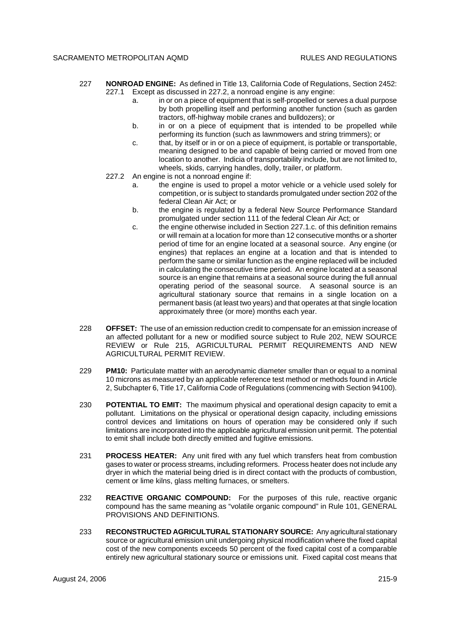- 227 **NONROAD ENGINE:** As defined in Title 13, California Code of Regulations, Section 2452: 227.1 Except as discussed in 227.2, a nonroad engine is any engine:
	- a. in or on a piece of equipment that is self-propelled or serves a dual purpose by both propelling itself and performing another function (such as garden tractors, off-highway mobile cranes and bulldozers); or
	- b. in or on a piece of equipment that is intended to be propelled while performing its function (such as lawnmowers and string trimmers); or
	- c. that, by itself or in or on a piece of equipment, is portable or transportable, meaning designed to be and capable of being carried or moved from one location to another. Indicia of transportability include, but are not limited to, wheels, skids, carrying handles, dolly, trailer, or platform.
	- 227.2 An engine is not a nonroad engine if:
		- a. the engine is used to propel a motor vehicle or a vehicle used solely for competition, or is subject to standards promulgated under section 202 of the federal Clean Air Act; or
		- b. the engine is regulated by a federal New Source Performance Standard promulgated under section 111 of the federal Clean Air Act; or
		- c. the engine otherwise included in Section 227.1.c. of this definition remains or will remain at a location for more than 12 consecutive months or a shorter period of time for an engine located at a seasonal source. Any engine (or engines) that replaces an engine at a location and that is intended to perform the same or similar function as the engine replaced will be included in calculating the consecutive time period. An engine located at a seasonal source is an engine that remains at a seasonal source during the full annual operating period of the seasonal source. A seasonal source is an agricultural stationary source that remains in a single location on a permanent basis (at least two years) and that operates at that single location approximately three (or more) months each year.
- 228 **OFFSET:** The use of an emission reduction credit to compensate for an emission increase of an affected pollutant for a new or modified source subject to Rule 202, NEW SOURCE REVIEW or Rule 215, AGRICULTURAL PERMIT REQUIREMENTS AND NEW AGRICULTURAL PERMIT REVIEW.
- 229 **PM10:** Particulate matter with an aerodynamic diameter smaller than or equal to a nominal 10 microns as measured by an applicable reference test method or methods found in Article 2, Subchapter 6, Title 17, California Code of Regulations (commencing with Section 94100).
- 230 **POTENTIAL TO EMIT:** The maximum physical and operational design capacity to emit a pollutant. Limitations on the physical or operational design capacity, including emissions control devices and limitations on hours of operation may be considered only if such limitations are incorporated into the applicable agricultural emission unit permit. The potential to emit shall include both directly emitted and fugitive emissions.
- 231 **PROCESS HEATER:** Any unit fired with any fuel which transfers heat from combustion gases to water or process streams, including reformers. Process heater does not include any dryer in which the material being dried is in direct contact with the products of combustion, cement or lime kilns, glass melting furnaces, or smelters.
- 232 **REACTIVE ORGANIC COMPOUND:** For the purposes of this rule, reactive organic compound has the same meaning as "volatile organic compound" in Rule 101, GENERAL PROVISIONS AND DEFINITIONS.
- 233 **RECONSTRUCTED AGRICULTURAL STATIONARY SOURCE:** Any agricultural stationary source or agricultural emission unit undergoing physical modification where the fixed capital cost of the new components exceeds 50 percent of the fixed capital cost of a comparable entirely new agricultural stationary source or emissions unit. Fixed capital cost means that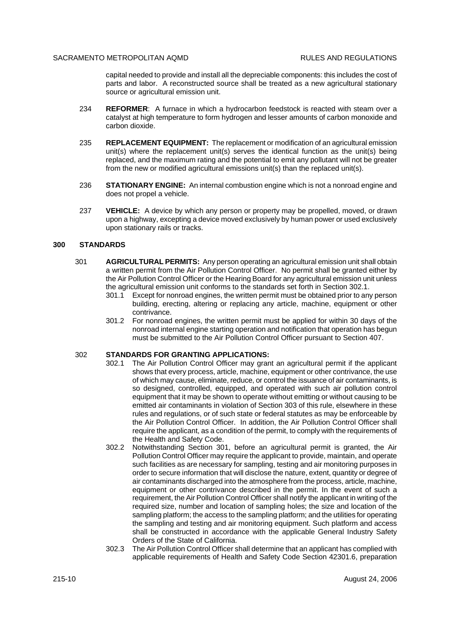capital needed to provide and install all the depreciable components: this includes the cost of parts and labor. A reconstructed source shall be treated as a new agricultural stationary source or agricultural emission unit.

- 234 **REFORMER**: A furnace in which a hydrocarbon feedstock is reacted with steam over a catalyst at high temperature to form hydrogen and lesser amounts of carbon monoxide and carbon dioxide.
- 235 **REPLACEMENT EQUIPMENT:** The replacement or modification of an agricultural emission unit(s) where the replacement unit(s) serves the identical function as the unit(s) being replaced, and the maximum rating and the potential to emit any pollutant will not be greater from the new or modified agricultural emissions unit(s) than the replaced unit(s).
- 236 **STATIONARY ENGINE:** An internal combustion engine which is not a nonroad engine and does not propel a vehicle.
- 237 **VEHICLE:** A device by which any person or property may be propelled, moved, or drawn upon a highway, excepting a device moved exclusively by human power or used exclusively upon stationary rails or tracks.

### **300 STANDARDS**

- 301 **AGRICULTURAL PERMITS:** Any person operating an agricultural emission unit shall obtain a written permit from the Air Pollution Control Officer. No permit shall be granted either by the Air Pollution Control Officer or the Hearing Board for any agricultural emission unit unless the agricultural emission unit conforms to the standards set forth in Section 302.1.
	- 301.1 Except for nonroad engines, the written permit must be obtained prior to any person building, erecting, altering or replacing any article, machine, equipment or other contrivance.
	- 301.2 For nonroad engines, the written permit must be applied for within 30 days of the nonroad internal engine starting operation and notification that operation has begun must be submitted to the Air Pollution Control Officer pursuant to Section 407.

#### 302 **STANDARDS FOR GRANTING APPLICATIONS:**

- 302.1 The Air Pollution Control Officer may grant an agricultural permit if the applicant shows that every process, article, machine, equipment or other contrivance, the use of which may cause, eliminate, reduce, or control the issuance of air contaminants, is so designed, controlled, equipped, and operated with such air pollution control equipment that it may be shown to operate without emitting or without causing to be emitted air contaminants in violation of Section 303 of this rule, elsewhere in these rules and regulations, or of such state or federal statutes as may be enforceable by the Air Pollution Control Officer. In addition, the Air Pollution Control Officer shall require the applicant, as a condition of the permit, to comply with the requirements of the Health and Safety Code.
- 302.2 Notwithstanding Section 301, before an agricultural permit is granted, the Air Pollution Control Officer may require the applicant to provide, maintain, and operate such facilities as are necessary for sampling, testing and air monitoring purposes in order to secure information that will disclose the nature, extent, quantity or degree of air contaminants discharged into the atmosphere from the process, article, machine, equipment or other contrivance described in the permit. In the event of such a requirement, the Air Pollution Control Officer shall notify the applicant in writing of the required size, number and location of sampling holes; the size and location of the sampling platform; the access to the sampling platform; and the utilities for operating the sampling and testing and air monitoring equipment. Such platform and access shall be constructed in accordance with the applicable General Industry Safety Orders of the State of California.
- 302.3 The Air Pollution Control Officer shall determine that an applicant has complied with applicable requirements of Health and Safety Code Section 42301.6, preparation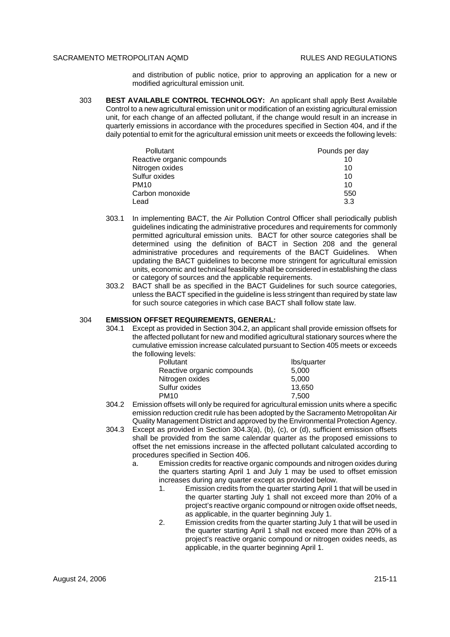and distribution of public notice, prior to approving an application for a new or modified agricultural emission unit.

303 **BEST AVAILABLE CONTROL TECHNOLOGY:** An applicant shall apply Best Available Control to a new agricultural emission unit or modification of an existing agricultural emission unit, for each change of an affected pollutant, if the change would result in an increase in quarterly emissions in accordance with the procedures specified in Section 404, and if the daily potential to emit for the agricultural emission unit meets or exceeds the following levels:

| Pollutant                  | Pounds per day |
|----------------------------|----------------|
| Reactive organic compounds | 10             |
| Nitrogen oxides            | 10             |
| Sulfur oxides              | 10             |
| <b>PM10</b>                | 10             |
| Carbon monoxide            | 550            |
| Lead                       | 3.3            |

- 303.1 In implementing BACT, the Air Pollution Control Officer shall periodically publish guidelines indicating the administrative procedures and requirements for commonly permitted agricultural emission units. BACT for other source categories shall be determined using the definition of BACT in Section 208 and the general administrative procedures and requirements of the BACT Guidelines. When updating the BACT guidelines to become more stringent for agricultural emission units, economic and technical feasibility shall be considered in establishing the class or category of sources and the applicable requirements.
- 303.2 BACT shall be as specified in the BACT Guidelines for such source categories, unless the BACT specified in the guideline is less stringent than required by state law for such source categories in which case BACT shall follow state law.

#### 304 **EMISSION OFFSET REQUIREMENTS, GENERAL:**

304.1 Except as provided in Section 304.2, an applicant shall provide emission offsets for the affected pollutant for new and modified agricultural stationary sources where the cumulative emission increase calculated pursuant to Section 405 meets or exceeds the following levels:

| <b>Pollutant</b>           | lbs/quarter |
|----------------------------|-------------|
| Reactive organic compounds | 5.000       |
| Nitrogen oxides            | 5.000       |
| Sulfur oxides              | 13.650      |
| <b>PM10</b>                | 7,500       |

- 304.2 Emission offsets will only be required for agricultural emission units where a specific emission reduction credit rule has been adopted by the Sacramento Metropolitan Air Quality Management District and approved by the Environmental Protection Agency.
- 304.3 Except as provided in Section 304.3(a), (b), (c), or (d), sufficient emission offsets shall be provided from the same calendar quarter as the proposed emissions to offset the net emissions increase in the affected pollutant calculated according to procedures specified in Section 406.
	- a. Emission credits for reactive organic compounds and nitrogen oxides during the quarters starting April 1 and July 1 may be used to offset emission increases during any quarter except as provided below.
		- 1. Emission credits from the quarter starting April 1 that will be used in the quarter starting July 1 shall not exceed more than 20% of a project's reactive organic compound or nitrogen oxide offset needs, as applicable, in the quarter beginning July 1.
		- 2. Emission credits from the quarter starting July 1 that will be used in the quarter starting April 1 shall not exceed more than 20% of a project's reactive organic compound or nitrogen oxides needs, as applicable, in the quarter beginning April 1.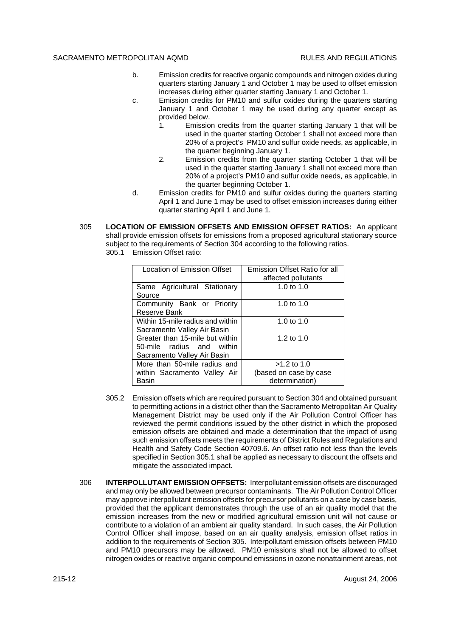- b. Emission credits for reactive organic compounds and nitrogen oxides during quarters starting January 1 and October 1 may be used to offset emission increases during either quarter starting January 1 and October 1.
- c. Emission credits for PM10 and sulfur oxides during the quarters starting January 1 and October 1 may be used during any quarter except as provided below.
	- 1. Emission credits from the quarter starting January 1 that will be used in the quarter starting October 1 shall not exceed more than 20% of a project's PM10 and sulfur oxide needs, as applicable, in the quarter beginning January 1.
	- 2. Emission credits from the quarter starting October 1 that will be used in the quarter starting January 1 shall not exceed more than 20% of a project's PM10 and sulfur oxide needs, as applicable, in the quarter beginning October 1.
- d. Emission credits for PM10 and sulfur oxides during the quarters starting April 1 and June 1 may be used to offset emission increases during either quarter starting April 1 and June 1.
- 305 **LOCATION OF EMISSION OFFSETS AND EMISSION OFFSET RATIOS:** An applicant shall provide emission offsets for emissions from a proposed agricultural stationary source subject to the requirements of Section 304 according to the following ratios. 305.1 Emission Offset ratio:

| Location of Emission Offset                                                                 | Emission Offset Ratio for all<br>affected pollutants      |
|---------------------------------------------------------------------------------------------|-----------------------------------------------------------|
| Same Agricultural Stationary<br>Source                                                      | 1.0 to $1.0$                                              |
| Community Bank or Priority<br>Reserve Bank                                                  | 1.0 to 1.0                                                |
| Within 15-mile radius and within<br>Sacramento Valley Air Basin                             | 1.0 to $1.0$                                              |
| Greater than 15-mile but within<br>50-mile radius and within<br>Sacramento Valley Air Basin | 1.2 to $1.0$                                              |
| More than 50-mile radius and<br>within Sacramento Valley Air<br>Basin                       | $>1.2$ to 1.0<br>(based on case by case<br>determination) |

- 305.2 Emission offsets which are required pursuant to Section 304 and obtained pursuant to permitting actions in a district other than the Sacramento Metropolitan Air Quality Management District may be used only if the Air Pollution Control Officer has reviewed the permit conditions issued by the other district in which the proposed emission offsets are obtained and made a determination that the impact of using such emission offsets meets the requirements of District Rules and Regulations and Health and Safety Code Section 40709.6. An offset ratio not less than the levels specified in Section 305.1 shall be applied as necessary to discount the offsets and mitigate the associated impact.
- 306 **INTERPOLLUTANT EMISSION OFFSETS:** Interpollutant emission offsets are discouraged and may only be allowed between precursor contaminants. The Air Pollution Control Officer may approve interpollutant emission offsets for precursor pollutants on a case by case basis, provided that the applicant demonstrates through the use of an air quality model that the emission increases from the new or modified agricultural emission unit will not cause or contribute to a violation of an ambient air quality standard. In such cases, the Air Pollution Control Officer shall impose, based on an air quality analysis, emission offset ratios in addition to the requirements of Section 305. Interpollutant emission offsets between PM10 and PM10 precursors may be allowed. PM10 emissions shall not be allowed to offset nitrogen oxides or reactive organic compound emissions in ozone nonattainment areas, not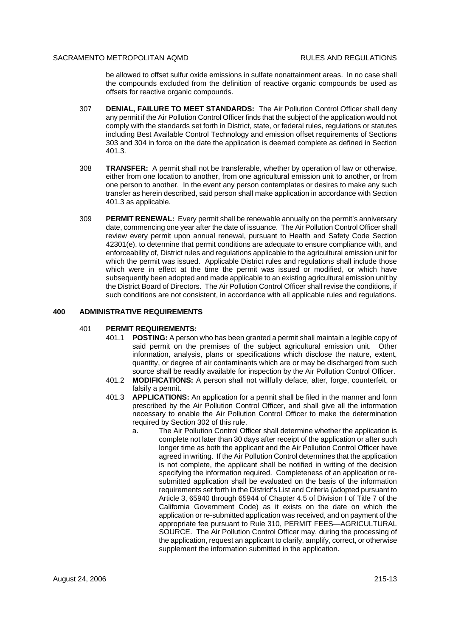be allowed to offset sulfur oxide emissions in sulfate nonattainment areas. In no case shall the compounds excluded from the definition of reactive organic compounds be used as offsets for reactive organic compounds.

- 307 **DENIAL, FAILURE TO MEET STANDARDS:** The Air Pollution Control Officer shall deny any permit if the Air Pollution Control Officer finds that the subject of the application would not comply with the standards set forth in District, state, or federal rules, regulations or statutes including Best Available Control Technology and emission offset requirements of Sections 303 and 304 in force on the date the application is deemed complete as defined in Section 401.3.
- 308 **TRANSFER:** A permit shall not be transferable, whether by operation of law or otherwise, either from one location to another, from one agricultural emission unit to another, or from one person to another. In the event any person contemplates or desires to make any such transfer as herein described, said person shall make application in accordance with Section 401.3 as applicable.
- 309 **PERMIT RENEWAL:** Every permit shall be renewable annually on the permit's anniversary date, commencing one year after the date of issuance. The Air Pollution Control Officer shall review every permit upon annual renewal, pursuant to Health and Safety Code Section 42301(e), to determine that permit conditions are adequate to ensure compliance with, and enforceability of, District rules and regulations applicable to the agricultural emission unit for which the permit was issued. Applicable District rules and regulations shall include those which were in effect at the time the permit was issued or modified, or which have subsequently been adopted and made applicable to an existing agricultural emission unit by the District Board of Directors. The Air Pollution Control Officer shall revise the conditions, if such conditions are not consistent, in accordance with all applicable rules and regulations.

#### **400 ADMINISTRATIVE REQUIREMENTS**

#### 401 **PERMIT REQUIREMENTS:**

- 401.1 **POSTING:** A person who has been granted a permit shall maintain a legible copy of said permit on the premises of the subject agricultural emission unit. Other information, analysis, plans or specifications which disclose the nature, extent, quantity, or degree of air contaminants which are or may be discharged from such source shall be readily available for inspection by the Air Pollution Control Officer.
- 401.2 **MODIFICATIONS:** A person shall not willfully deface, alter, forge, counterfeit, or falsify a permit.
- 401.3 **APPLICATIONS:** An application for a permit shall be filed in the manner and form prescribed by the Air Pollution Control Officer, and shall give all the information necessary to enable the Air Pollution Control Officer to make the determination required by Section 302 of this rule.
	- a. The Air Pollution Control Officer shall determine whether the application is complete not later than 30 days after receipt of the application or after such longer time as both the applicant and the Air Pollution Control Officer have agreed in writing. If the Air Pollution Control determines that the application is not complete, the applicant shall be notified in writing of the decision specifying the information required. Completeness of an application or resubmitted application shall be evaluated on the basis of the information requirements set forth in the District's List and Criteria (adopted pursuant to Article 3, 65940 through 65944 of Chapter 4.5 of Division I of Title 7 of the California Government Code) as it exists on the date on which the application or re-submitted application was received, and on payment of the appropriate fee pursuant to Rule 310, PERMIT FEES—AGRICULTURAL SOURCE. The Air Pollution Control Officer may, during the processing of the application, request an applicant to clarify, amplify, correct, or otherwise supplement the information submitted in the application.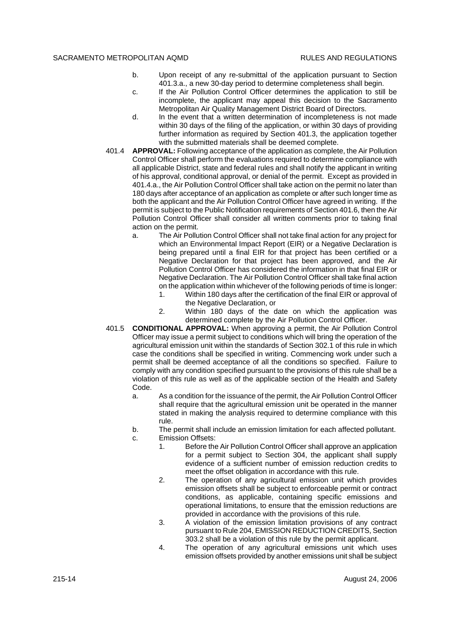- b. Upon receipt of any re-submittal of the application pursuant to Section 401.3.a., a new 30-day period to determine completeness shall begin.
- c. If the Air Pollution Control Officer determines the application to still be incomplete, the applicant may appeal this decision to the Sacramento Metropolitan Air Quality Management District Board of Directors.
- d. In the event that a written determination of incompleteness is not made within 30 days of the filing of the application, or within 30 days of providing further information as required by Section 401.3, the application together with the submitted materials shall be deemed complete.
- 401.4 **APPROVAL:** Following acceptance of the application as complete, the Air Pollution Control Officer shall perform the evaluations required to determine compliance with all applicable District, state and federal rules and shall notify the applicant in writing of his approval, conditional approval, or denial of the permit. Except as provided in 401.4.a., the Air Pollution Control Officer shall take action on the permit no later than 180 days after acceptance of an application as complete or after such longer time as both the applicant and the Air Pollution Control Officer have agreed in writing. If the permit is subject to the Public Notification requirements of Section 401.6, then the Air Pollution Control Officer shall consider all written comments prior to taking final action on the permit.
	- a. The Air Pollution Control Officer shall not take final action for any project for which an Environmental Impact Report (EIR) or a Negative Declaration is being prepared until a final EIR for that project has been certified or a Negative Declaration for that project has been approved, and the Air Pollution Control Officer has considered the information in that final EIR or Negative Declaration. The Air Pollution Control Officer shall take final action on the application within whichever of the following periods of time is longer:
		- 1. Within 180 days after the certification of the final EIR or approval of the Negative Declaration, or
		- 2. Within 180 days of the date on which the application was determined complete by the Air Pollution Control Officer.
- 401.5 **CONDITIONAL APPROVAL:** When approving a permit, the Air Pollution Control Officer may issue a permit subject to conditions which will bring the operation of the agricultural emission unit within the standards of Section 302.1 of this rule in which case the conditions shall be specified in writing. Commencing work under such a permit shall be deemed acceptance of all the conditions so specified. Failure to comply with any condition specified pursuant to the provisions of this rule shall be a violation of this rule as well as of the applicable section of the Health and Safety Code.
	- a. As a condition for the issuance of the permit, the Air Pollution Control Officer shall require that the agricultural emission unit be operated in the manner stated in making the analysis required to determine compliance with this rule.
	- b. The permit shall include an emission limitation for each affected pollutant.
	- c. Emission Offsets:
		- 1. Before the Air Pollution Control Officer shall approve an application for a permit subject to Section 304, the applicant shall supply evidence of a sufficient number of emission reduction credits to meet the offset obligation in accordance with this rule.
		- 2. The operation of any agricultural emission unit which provides emission offsets shall be subject to enforceable permit or contract conditions, as applicable, containing specific emissions and operational limitations, to ensure that the emission reductions are provided in accordance with the provisions of this rule.
		- 3. A violation of the emission limitation provisions of any contract pursuant to Rule 204, EMISSION REDUCTION CREDITS, Section 303.2 shall be a violation of this rule by the permit applicant.
		- 4. The operation of any agricultural emissions unit which uses emission offsets provided by another emissions unit shall be subject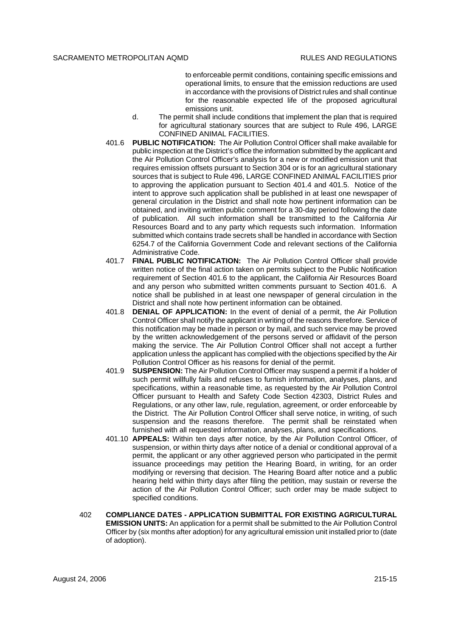to enforceable permit conditions, containing specific emissions and operational limits, to ensure that the emission reductions are used in accordance with the provisions of District rules and shall continue for the reasonable expected life of the proposed agricultural emissions unit.

- d. The permit shall include conditions that implement the plan that is required for agricultural stationary sources that are subject to Rule 496, LARGE CONFINED ANIMAL FACILITIES.
- 401.6 **PUBLIC NOTIFICATION:** The Air Pollution Control Officer shall make available for public inspection at the District's office the information submitted by the applicant and the Air Pollution Control Officer's analysis for a new or modified emission unit that requires emission offsets pursuant to Section 304 or is for an agricultural stationary sources that is subject to Rule 496, LARGE CONFINED ANIMAL FACILITIES prior to approving the application pursuant to Section 401.4 and 401.5. Notice of the intent to approve such application shall be published in at least one newspaper of general circulation in the District and shall note how pertinent information can be obtained, and inviting written public comment for a 30-day period following the date of publication. All such information shall be transmitted to the California Air Resources Board and to any party which requests such information. Information submitted which contains trade secrets shall be handled in accordance with Section 6254.7 of the California Government Code and relevant sections of the California Administrative Code.
- 401.7 **FINAL PUBLIC NOTIFICATION:** The Air Pollution Control Officer shall provide written notice of the final action taken on permits subject to the Public Notification requirement of Section 401.6 to the applicant, the California Air Resources Board and any person who submitted written comments pursuant to Section 401.6. A notice shall be published in at least one newspaper of general circulation in the District and shall note how pertinent information can be obtained.
- 401.8 **DENIAL OF APPLICATION:** In the event of denial of a permit, the Air Pollution Control Officer shall notify the applicant in writing of the reasons therefore. Service of this notification may be made in person or by mail, and such service may be proved by the written acknowledgement of the persons served or affidavit of the person making the service. The Air Pollution Control Officer shall not accept a further application unless the applicant has complied with the objections specified by the Air Pollution Control Officer as his reasons for denial of the permit.
- 401.9 **SUSPENSION:** The Air Pollution Control Officer may suspend a permit if a holder of such permit willfully fails and refuses to furnish information, analyses, plans, and specifications, within a reasonable time, as requested by the Air Pollution Control Officer pursuant to Health and Safety Code Section 42303, District Rules and Regulations, or any other law, rule, regulation, agreement, or order enforceable by the District. The Air Pollution Control Officer shall serve notice, in writing, of such suspension and the reasons therefore. The permit shall be reinstated when furnished with all requested information, analyses, plans, and specifications.
- 401.10 **APPEALS:** Within ten days after notice, by the Air Pollution Control Officer, of suspension, or within thirty days after notice of a denial or conditional approval of a permit, the applicant or any other aggrieved person who participated in the permit issuance proceedings may petition the Hearing Board, in writing, for an order modifying or reversing that decision. The Hearing Board after notice and a public hearing held within thirty days after filing the petition, may sustain or reverse the action of the Air Pollution Control Officer; such order may be made subject to specified conditions.
- 402 **COMPLIANCE DATES APPLICATION SUBMITTAL FOR EXISTING AGRICULTURAL EMISSION UNITS:** An application for a permit shall be submitted to the Air Pollution Control Officer by (six months after adoption) for any agricultural emission unit installed prior to (date of adoption).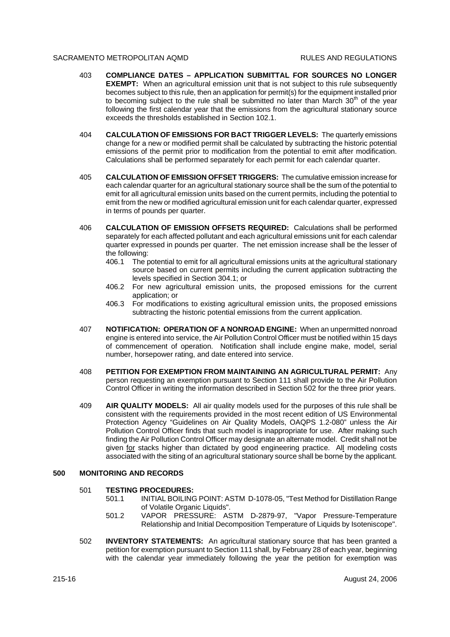- 403 **COMPLIANCE DATES APPLICATION SUBMITTAL FOR SOURCES NO LONGER EXEMPT:** When an agricultural emission unit that is not subject to this rule subsequently becomes subject to this rule, then an application for permit(s) for the equipment installed prior to becoming subject to the rule shall be submitted no later than March  $30<sup>th</sup>$  of the year following the first calendar year that the emissions from the agricultural stationary source exceeds the thresholds established in Section 102.1.
- 404 **CALCULATION OF EMISSIONS FOR BACT TRIGGER LEVELS:** The quarterly emissions change for a new or modified permit shall be calculated by subtracting the historic potential emissions of the permit prior to modification from the potential to emit after modification. Calculations shall be performed separately for each permit for each calendar quarter.
- 405 **CALCULATION OF EMISSION OFFSET TRIGGERS:** The cumulative emission increase for each calendar quarter for an agricultural stationary source shall be the sum of the potential to emit for all agricultural emission units based on the current permits, including the potential to emit from the new or modified agricultural emission unit for each calendar quarter, expressed in terms of pounds per quarter.
- 406 **CALCULATION OF EMISSION OFFSETS REQUIRED:** Calculations shall be performed separately for each affected pollutant and each agricultural emissions unit for each calendar quarter expressed in pounds per quarter. The net emission increase shall be the lesser of the following:
	- 406.1 The potential to emit for all agricultural emissions units at the agricultural stationary source based on current permits including the current application subtracting the levels specified in Section 304.1; or
	- 406.2 For new agricultural emission units, the proposed emissions for the current application; or
	- 406.3 For modifications to existing agricultural emission units, the proposed emissions subtracting the historic potential emissions from the current application.
- 407 **NOTIFICATION: OPERATION OF A NONROAD ENGINE:** When an unpermitted nonroad engine is entered into service, the Air Pollution Control Officer must be notified within 15 days of commencement of operation. Notification shall include engine make, model, serial number, horsepower rating, and date entered into service.
- 408 **PETITION FOR EXEMPTION FROM MAINTAINING AN AGRICULTURAL PERMIT:** Any person requesting an exemption pursuant to Section 111 shall provide to the Air Pollution Control Officer in writing the information described in Section 502 for the three prior years.
- 409 **AIR QUALITY MODELS:** All air quality models used for the purposes of this rule shall be consistent with the requirements provided in the most recent edition of US Environmental Protection Agency "Guidelines on Air Quality Models, OAQPS 1.2-080" unless the Air Pollution Control Officer finds that such model is inappropriate for use. After making such finding the Air Pollution Control Officer may designate an alternate model. Credit shall not be given for stacks higher than dictated by good engineering practice. All modeling costs associated with the siting of an agricultural stationary source shall be borne by the applicant.

#### **500 MONITORING AND RECORDS**

#### 501 **TESTING PROCEDURES:**

- 501.1 INITIAL BOILING POINT: ASTM D-1078-05, "Test Method for Distillation Range of Volatile Organic Liquids".
- 501.2 VAPOR PRESSURE: ASTM D-2879-97, "Vapor Pressure-Temperature Relationship and Initial Decomposition Temperature of Liquids by Isoteniscope".
- 502 **INVENTORY STATEMENTS:** An agricultural stationary source that has been granted a petition for exemption pursuant to Section 111 shall, by February 28 of each year, beginning with the calendar year immediately following the year the petition for exemption was